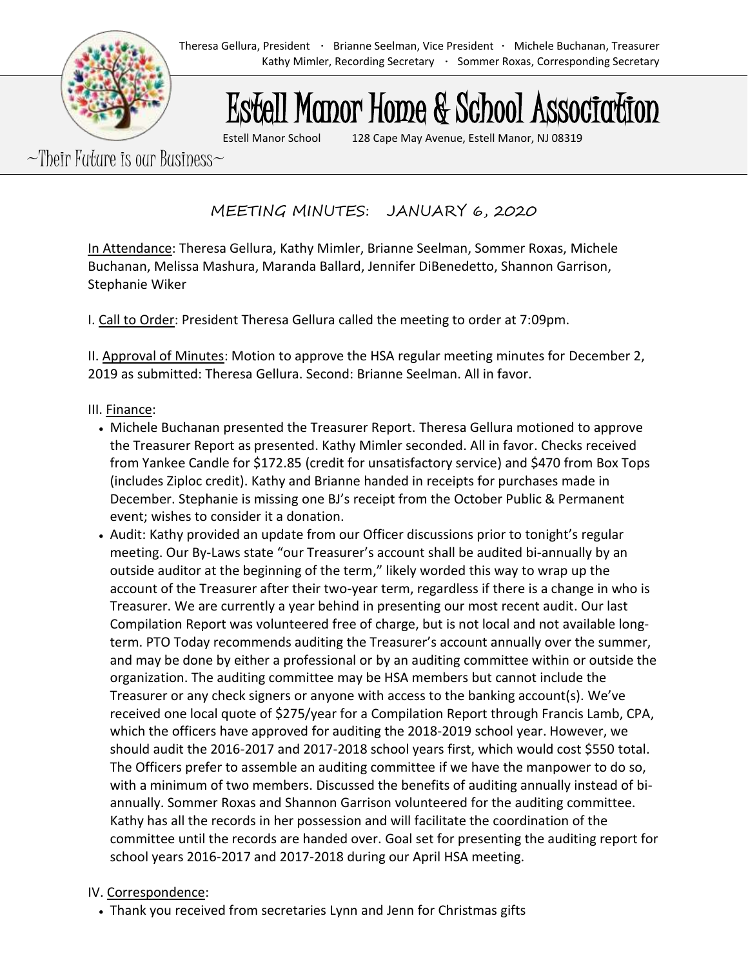# Estell Manor Home & School Association

Estell Manor School 128 Cape May Avenue, Estell Manor, NJ 08319

 $\sim$ Their Future is our Business $\sim$ 

MEETING MINUTES: JANUARY 6, 2020

In Attendance: Theresa Gellura, Kathy Mimler, Brianne Seelman, Sommer Roxas, Michele Buchanan, Melissa Mashura, Maranda Ballard, Jennifer DiBenedetto, Shannon Garrison, Stephanie Wiker

I. Call to Order: President Theresa Gellura called the meeting to order at 7:09pm.

II. Approval of Minutes: Motion to approve the HSA regular meeting minutes for December 2, 2019 as submitted: Theresa Gellura. Second: Brianne Seelman. All in favor.

## III. Finance:

- Michele Buchanan presented the Treasurer Report. Theresa Gellura motioned to approve the Treasurer Report as presented. Kathy Mimler seconded. All in favor. Checks received from Yankee Candle for \$172.85 (credit for unsatisfactory service) and \$470 from Box Tops (includes Ziploc credit). Kathy and Brianne handed in receipts for purchases made in December. Stephanie is missing one BJ's receipt from the October Public & Permanent event; wishes to consider it a donation.
- Audit: Kathy provided an update from our Officer discussions prior to tonight's regular meeting. Our By-Laws state "our Treasurer's account shall be audited bi-annually by an outside auditor at the beginning of the term," likely worded this way to wrap up the account of the Treasurer after their two-year term, regardless if there is a change in who is Treasurer. We are currently a year behind in presenting our most recent audit. Our last Compilation Report was volunteered free of charge, but is not local and not available longterm. PTO Today recommends auditing the Treasurer's account annually over the summer, and may be done by either a professional or by an auditing committee within or outside the organization. The auditing committee may be HSA members but cannot include the Treasurer or any check signers or anyone with access to the banking account(s). We've received one local quote of \$275/year for a Compilation Report through Francis Lamb, CPA, which the officers have approved for auditing the 2018-2019 school year. However, we should audit the 2016-2017 and 2017-2018 school years first, which would cost \$550 total. The Officers prefer to assemble an auditing committee if we have the manpower to do so, with a minimum of two members. Discussed the benefits of auditing annually instead of biannually. Sommer Roxas and Shannon Garrison volunteered for the auditing committee. Kathy has all the records in her possession and will facilitate the coordination of the committee until the records are handed over. Goal set for presenting the auditing report for school years 2016-2017 and 2017-2018 during our April HSA meeting.

## IV. Correspondence:

• Thank you received from secretaries Lynn and Jenn for Christmas gifts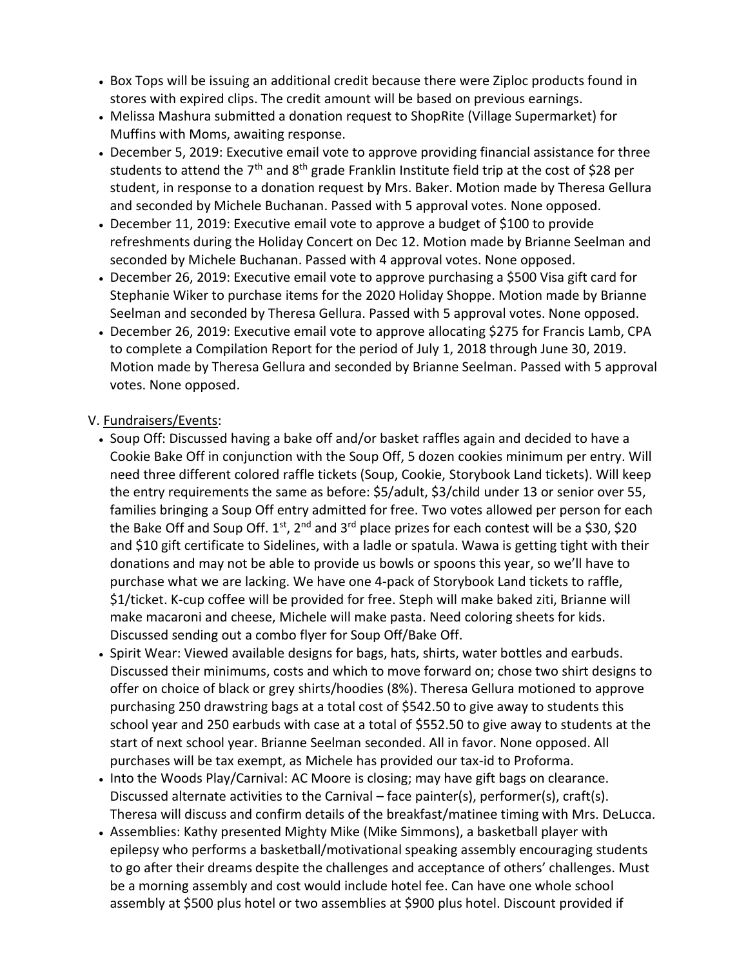- Box Tops will be issuing an additional credit because there were Ziploc products found in stores with expired clips. The credit amount will be based on previous earnings.
- Melissa Mashura submitted a donation request to ShopRite (Village Supermarket) for Muffins with Moms, awaiting response.
- December 5, 2019: Executive email vote to approve providing financial assistance for three students to attend the  $7<sup>th</sup>$  and  $8<sup>th</sup>$  grade Franklin Institute field trip at the cost of \$28 per student, in response to a donation request by Mrs. Baker. Motion made by Theresa Gellura and seconded by Michele Buchanan. Passed with 5 approval votes. None opposed.
- December 11, 2019: Executive email vote to approve a budget of \$100 to provide refreshments during the Holiday Concert on Dec 12. Motion made by Brianne Seelman and seconded by Michele Buchanan. Passed with 4 approval votes. None opposed.
- December 26, 2019: Executive email vote to approve purchasing a \$500 Visa gift card for Stephanie Wiker to purchase items for the 2020 Holiday Shoppe. Motion made by Brianne Seelman and seconded by Theresa Gellura. Passed with 5 approval votes. None opposed.
- December 26, 2019: Executive email vote to approve allocating \$275 for Francis Lamb, CPA to complete a Compilation Report for the period of July 1, 2018 through June 30, 2019. Motion made by Theresa Gellura and seconded by Brianne Seelman. Passed with 5 approval votes. None opposed.

### V. Fundraisers/Events:

- Soup Off: Discussed having a bake off and/or basket raffles again and decided to have a Cookie Bake Off in conjunction with the Soup Off, 5 dozen cookies minimum per entry. Will need three different colored raffle tickets (Soup, Cookie, Storybook Land tickets). Will keep the entry requirements the same as before: \$5/adult, \$3/child under 13 or senior over 55, families bringing a Soup Off entry admitted for free. Two votes allowed per person for each the Bake Off and Soup Off. 1<sup>st</sup>, 2<sup>nd</sup> and 3<sup>rd</sup> place prizes for each contest will be a \$30, \$20 and \$10 gift certificate to Sidelines, with a ladle or spatula. Wawa is getting tight with their donations and may not be able to provide us bowls or spoons this year, so we'll have to purchase what we are lacking. We have one 4-pack of Storybook Land tickets to raffle, \$1/ticket. K-cup coffee will be provided for free. Steph will make baked ziti, Brianne will make macaroni and cheese, Michele will make pasta. Need coloring sheets for kids. Discussed sending out a combo flyer for Soup Off/Bake Off.
- Spirit Wear: Viewed available designs for bags, hats, shirts, water bottles and earbuds. Discussed their minimums, costs and which to move forward on; chose two shirt designs to offer on choice of black or grey shirts/hoodies (8%). Theresa Gellura motioned to approve purchasing 250 drawstring bags at a total cost of \$542.50 to give away to students this school year and 250 earbuds with case at a total of \$552.50 to give away to students at the start of next school year. Brianne Seelman seconded. All in favor. None opposed. All purchases will be tax exempt, as Michele has provided our tax-id to Proforma.
- Into the Woods Play/Carnival: AC Moore is closing; may have gift bags on clearance. Discussed alternate activities to the Carnival – face painter(s), performer(s), craft(s). Theresa will discuss and confirm details of the breakfast/matinee timing with Mrs. DeLucca.
- Assemblies: Kathy presented Mighty Mike (Mike Simmons), a basketball player with epilepsy who performs a basketball/motivational speaking assembly encouraging students to go after their dreams despite the challenges and acceptance of others' challenges. Must be a morning assembly and cost would include hotel fee. Can have one whole school assembly at \$500 plus hotel or two assemblies at \$900 plus hotel. Discount provided if